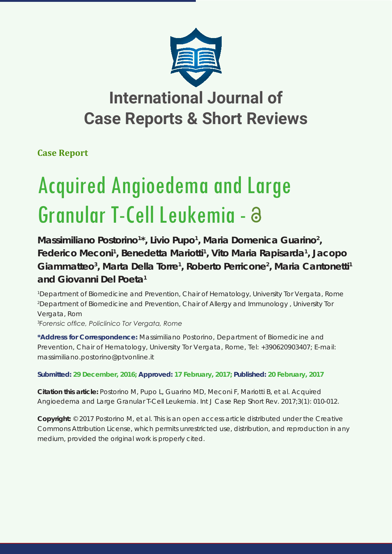

## **International Journal of Case Reports & Short Reviews**

**Case Report**

# Acquired Angioedema and Large Granular T-Cell Leukemia -

Massimiliano Postorino<sup>1\*</sup>, Livio Pupo<sup>1</sup>, Maria Domenica Guarino<sup>2</sup>, Federico Meconi<sup>1</sup>, Benedetta Mariotti<sup>1</sup>, Vito Maria Rapisarda<sup>1</sup>, Jacopo Giammatteo<sup>3</sup>, Marta Della Torre<sup>1</sup>, Roberto Perricone<sup>2</sup>, Maria Cantonetti<sup>1</sup> **and Giovanni Del Poeta1**

*1 Department of Biomedicine and Prevention, Chair of Hematology, University Tor Vergata, Rome 2 Department of Biomedicine and Prevention, Chair of Allergy and Immunology , University Tor Vergata, Rom*

*3 Forensic office, Policlinico Tor Vergata, Rome* 

**\*Address for Correspondence:** Massimiliano Postorino, Department of Biomedicine and Prevention, Chair of Hematology, University Tor Vergata, Rome, Tel: +390620903407; E-mail: massimiliano.postorino@ptvonline.it

**Submitted: 29 December, 2016; Approved: 17 February, 2017; Published: 20 February, 2017**

**Citation this article:** Postorino M, Pupo L, Guarino MD, Meconi F, Mariotti B, et al. Acquired Angioedema and Large Granular T-Cell Leukemia. Int J Case Rep Short Rev. 2017;3(1): 010-012.

**Copyright:** © 2017 Postorino M, et al. This is an open access article distributed under the Creative Commons Attribution License, which permits unrestricted use, distribution, and reproduction in any medium, provided the original work is properly cited.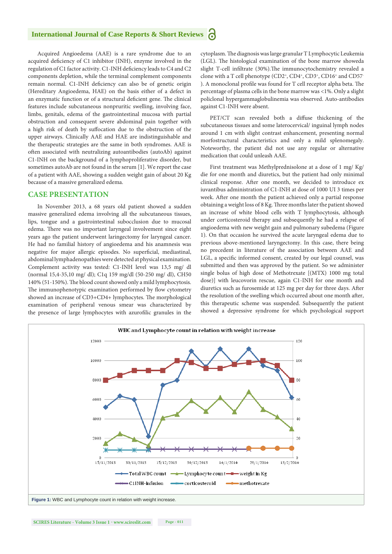#### **International Journal of Case Reports & Short Reviews** Ы

Acquired Angioedema (AAE) is a rare syndrome due to an acquired deficiency of C1 inhibitor (INH), enzyme involved in the regulation of C1 factor activity. C1-INH deficiency leads to C4 and C2 components depletion, while the terminal complement components remain normal. C1-INH deficiency can also be of genetic origin (Hereditary Angioedema, HAE) on the basis either of a defect in an enzymatic function or of a structural deficient gene. The clinical features include subcutaneous nonpruritic swelling, involving face, limbs, genitals, edema of the gastrointestinal mucosa with partial obstruction and consequent severe abdominal pain together with a high risk of death by suffocation due to the obstruction of the upper airways. Clinically AAE and HAE are indistinguishable and the therapeutic strategies are the same in both syndromes. AAE is often associated with neutralizing autoantibodies (autoAb) against C1-INH on the background of a lymphoproliferative disorder, but sometimes autoAb are not found in the serum [1]. We report the case of a patient with AAE, showing a sudden weight gain of about 20 Kg because of a massive generalized edema.

#### **CASE PRESENTATION**

In November 2013, a 68 years old patient showed a sudden massive generalized edema involving all the subcutaneous tissues, lips, tongue and a gastrointestinal subocclusion due to mucosal edema. There was no important laryngeal involvement since eight years ago the patient underwent laringectomy for laryngeal cancer. He had no familial history of angioedema and his anamnesis was negative for major allergic episodes. No superficial, mediastinal, abdominal lymphadenopathies were detected at physical examination. Complement activity was tested: C1-INH level was 13,5 mg/ dl (normal 15,4-35,10 mg/ dl); C1q 159 mg/dl (50-250 mg/ dl), CH50 140% (51-150%). The blood count showed only a mild lymphocytosis. The immunophenotypic examination performed by flow cytometry showed an increase of CD3+CD4+ lymphocytes. The morphological examination of peripheral venous smear was characterized by the presence of large lymphocytes with azurofilic granules in the cytoplasm. The diagnosis was large granular T Lymphocytic Leukemia (LGL). The histological examination of the bone marrow showeda slight T-cell infiltrate (30%).The immunocytochemistry revealed a clone with a T cell phenotype (CD2+, CD4+, CD3+, CD16+ and CD57-). A monoclonal profile was found for T cell receptor alpha beta. The percentage of plasma cells in the bone marrow was <1%. Only a slight policlonal hypergammaglobulinemia was observed. Auto-antibodies against C1-INH were absent.

PET/CT scan revealed both a diffuse thickening of the subcutaneous tissues and some laterocervical/ inguinal lymph nodes around 1 cm with slight contrast enhancement, presenting normal morfostructural characteristics and only a mild splenomegaly. Noteworthy, the patient did not use any regular or alternative medication that could unleash AAE.

First treatment was Methylprednisolone at a dose of 1 mg/ Kg/ die for one month and diuretics, but the patient had only minimal clinical response. After one month, we decided to introduce ex iuvantibus administration of C1-INH at dose of 1000 UI 3 times per week. After one month the patient achieved only a partial response obtaining a weight loss of 8 Kg. Three months later the patient showed an increase of white blood cells with T lymphocytosis, although under corticosteroid therapy and subsequently he had a relapse of angioedema with new weight gain and pulmonary subedema (Figure 1). On that occasion he survived the acute laryngeal edema due to previous above-mentioned laryngectomy. In this case, there being no precedent in literature of the association between AAE and LGL, a specific informed consent, created by our legal counsel, was submitted and then was approved by the patient. So we administer single bolus of high dose of Methotrexate [(MTX) 1000 mg total dose)] with leucovorin rescue, again C1-INH for one month and diuretics such as furosemide at 125 mg per day for three days. After the resolution of the swelling which occurred about one month after, this therapeutic scheme was suspended. Subsequently the patient showed a depressive syndrome for which psychological support